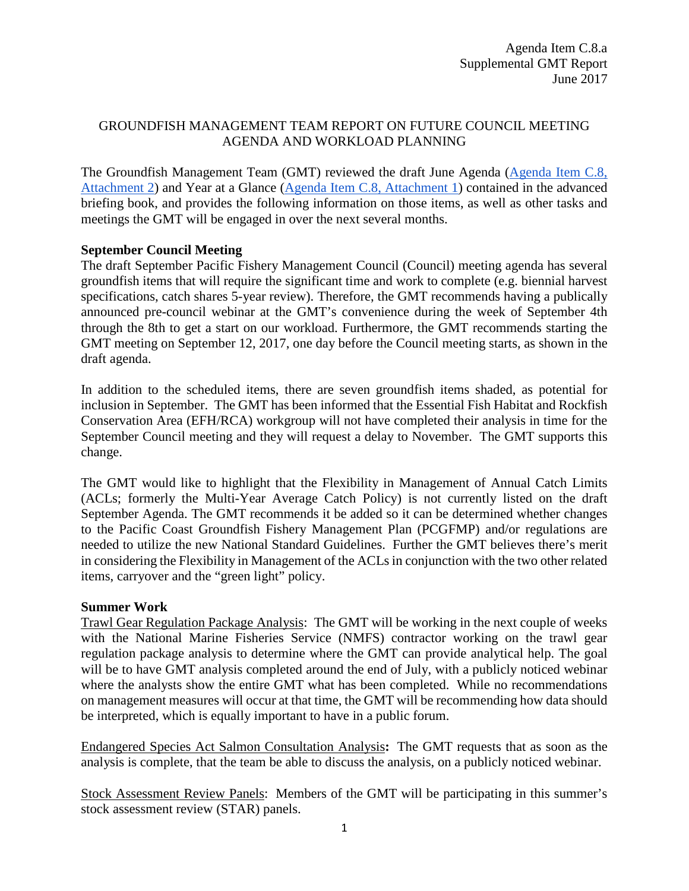# GROUNDFISH MANAGEMENT TEAM REPORT ON FUTURE COUNCIL MEETING AGENDA AND WORKLOAD PLANNING

The Groundfish Management Team (GMT) reviewed the draft June Agenda [\(Agenda Item C.8,](http://www.pcouncil.org/wp-content/uploads/2017/05/C8_Att2_SEPT17QR_JUNEBB.pdf)  [Attachment 2\)](http://www.pcouncil.org/wp-content/uploads/2017/05/C8_Att2_SEPT17QR_JUNEBB.pdf) and Year at a Glance [\(Agenda Item C.8, Attachment 1\)](http://www.pcouncil.org/wp-content/uploads/2017/05/C8_Att1_YAG_JUNE2017BB.pdf) contained in the advanced briefing book, and provides the following information on those items, as well as other tasks and meetings the GMT will be engaged in over the next several months.

# **September Council Meeting**

The draft September Pacific Fishery Management Council (Council) meeting agenda has several groundfish items that will require the significant time and work to complete (e.g. biennial harvest specifications, catch shares 5-year review). Therefore, the GMT recommends having a publically announced pre-council webinar at the GMT's convenience during the week of September 4th through the 8th to get a start on our workload. Furthermore, the GMT recommends starting the GMT meeting on September 12, 2017, one day before the Council meeting starts, as shown in the draft agenda.

In addition to the scheduled items, there are seven groundfish items shaded, as potential for inclusion in September. The GMT has been informed that the Essential Fish Habitat and Rockfish Conservation Area (EFH/RCA) workgroup will not have completed their analysis in time for the September Council meeting and they will request a delay to November. The GMT supports this change.

The GMT would like to highlight that the Flexibility in Management of Annual Catch Limits (ACLs; formerly the Multi-Year Average Catch Policy) is not currently listed on the draft September Agenda. The GMT recommends it be added so it can be determined whether changes to the Pacific Coast Groundfish Fishery Management Plan (PCGFMP) and/or regulations are needed to utilize the new National Standard Guidelines. Further the GMT believes there's merit in considering the Flexibility in Management of the ACLs in conjunction with the two other related items, carryover and the "green light" policy.

## **Summer Work**

Trawl Gear Regulation Package Analysis: The GMT will be working in the next couple of weeks with the National Marine Fisheries Service (NMFS) contractor working on the trawl gear regulation package analysis to determine where the GMT can provide analytical help. The goal will be to have GMT analysis completed around the end of July, with a publicly noticed webinar where the analysts show the entire GMT what has been completed. While no recommendations on management measures will occur at that time, the GMT will be recommending how data should be interpreted, which is equally important to have in a public forum.

Endangered Species Act Salmon Consultation Analysis**:** The GMT requests that as soon as the analysis is complete, that the team be able to discuss the analysis, on a publicly noticed webinar.

Stock Assessment Review Panels: Members of the GMT will be participating in this summer's stock assessment review (STAR) panels.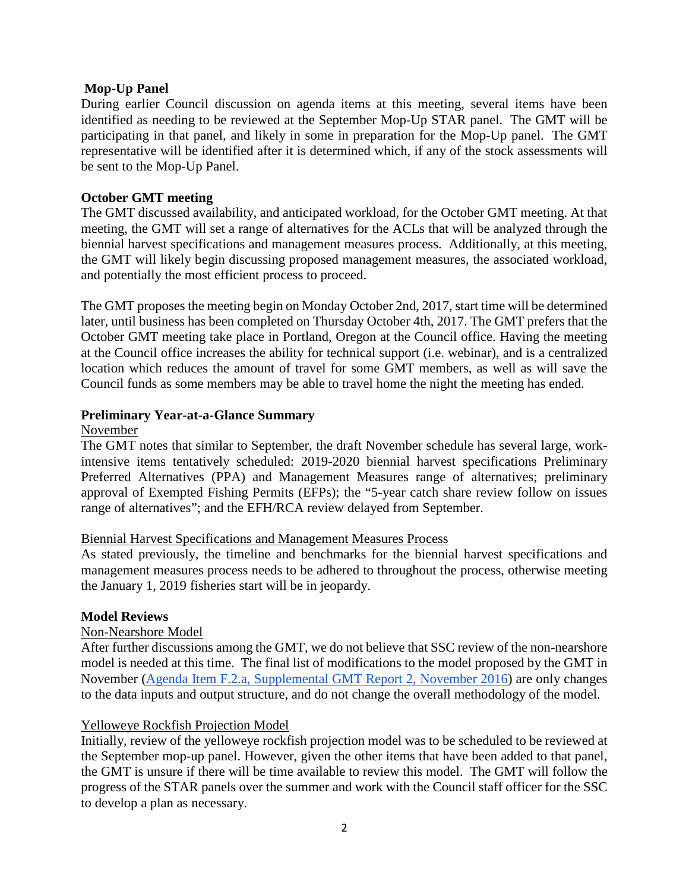## **Mop-Up Panel**

During earlier Council discussion on agenda items at this meeting, several items have been identified as needing to be reviewed at the September Mop-Up STAR panel. The GMT will be participating in that panel, and likely in some in preparation for the Mop-Up panel. The GMT representative will be identified after it is determined which, if any of the stock assessments will be sent to the Mop-Up Panel.

## **October GMT meeting**

The GMT discussed availability, and anticipated workload, for the October GMT meeting. At that meeting, the GMT will set a range of alternatives for the ACLs that will be analyzed through the biennial harvest specifications and management measures process. Additionally, at this meeting, the GMT will likely begin discussing proposed management measures, the associated workload, and potentially the most efficient process to proceed.

The GMT proposes the meeting begin on Monday October 2nd, 2017, start time will be determined later, until business has been completed on Thursday October 4th, 2017. The GMT prefers that the October GMT meeting take place in Portland, Oregon at the Council office. Having the meeting at the Council office increases the ability for technical support (i.e. webinar), and is a centralized location which reduces the amount of travel for some GMT members, as well as will save the Council funds as some members may be able to travel home the night the meeting has ended.

## **Preliminary Year-at-a-Glance Summary**

#### November

The GMT notes that similar to September, the draft November schedule has several large, workintensive items tentatively scheduled: 2019-2020 biennial harvest specifications Preliminary Preferred Alternatives (PPA) and Management Measures range of alternatives; preliminary approval of Exempted Fishing Permits (EFPs); the "5-year catch share review follow on issues range of alternatives"; and the EFH/RCA review delayed from September.

## Biennial Harvest Specifications and Management Measures Process

As stated previously, the timeline and benchmarks for the biennial harvest specifications and management measures process needs to be adhered to throughout the process, otherwise meeting the January 1, 2019 fisheries start will be in jeopardy.

## **Model Reviews**

## Non-Nearshore Model

After further discussions among the GMT, we do not believe that SSC review of the non-nearshore model is needed at this time. The final list of modifications to the model proposed by the GMT in November [\(Agenda Item F.2.a, Supplemental GMT Report 2, November 2016\)](http://www.pcouncil.org/wp-content/uploads/2016/10/F2a_GMT_Rpt2_NOV2016BB.pdf) are only changes to the data inputs and output structure, and do not change the overall methodology of the model.

## Yelloweye Rockfish Projection Model

Initially, review of the yelloweye rockfish projection model was to be scheduled to be reviewed at the September mop-up panel. However, given the other items that have been added to that panel, the GMT is unsure if there will be time available to review this model. The GMT will follow the progress of the STAR panels over the summer and work with the Council staff officer for the SSC to develop a plan as necessary.